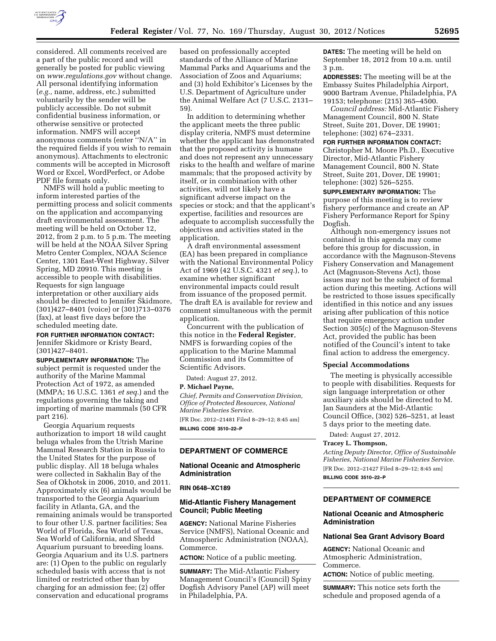

considered. All comments received are a part of the public record and will generally be posted for public viewing on *[www.regulations.gov](http://www.regulations.gov)* without change. All personal identifying information (*e.g.,* name, address, etc.) submitted voluntarily by the sender will be publicly accessible. Do not submit confidential business information, or otherwise sensitive or protected information. NMFS will accept anonymous comments (enter ''N/A'' in the required fields if you wish to remain anonymous). Attachments to electronic comments will be accepted in Microsoft Word or Excel, WordPerfect, or Adobe PDF file formats only.

NMFS will hold a public meeting to inform interested parties of the permitting process and solicit comments on the application and accompanying draft environmental assessment. The meeting will be held on October 12, 2012, from 2 p.m. to 5 p.m. The meeting will be held at the NOAA Silver Spring Metro Center Complex, NOAA Science Center, 1301 East-West Highway, Silver Spring, MD 20910. This meeting is accessible to people with disabilities. Requests for sign language interpretation or other auxiliary aids should be directed to Jennifer Skidmore, (301)427–8401 (voice) or (301)713–0376 (fax), at least five days before the scheduled meeting date.

# **FOR FURTHER INFORMATION CONTACT:**

Jennifer Skidmore or Kristy Beard, (301)427–8401.

**SUPPLEMENTARY INFORMATION:** The subject permit is requested under the authority of the Marine Mammal Protection Act of 1972, as amended (MMPA; 16 U.S.C. 1361 *et seq.*) and the regulations governing the taking and importing of marine mammals (50 CFR part 216).

Georgia Aquarium requests authorization to import 18 wild caught beluga whales from the Utrish Marine Mammal Research Station in Russia to the United States for the purpose of public display. All 18 beluga whales were collected in Sakhalin Bay of the Sea of Okhotsk in 2006, 2010, and 2011. Approximately six (6) animals would be transported to the Georgia Aquarium facility in Atlanta, GA, and the remaining animals would be transported to four other U.S. partner facilities; Sea World of Florida, Sea World of Texas, Sea World of California, and Shedd Aquarium pursuant to breeding loans. Georgia Aquarium and its U.S. partners are: (1) Open to the public on regularly scheduled basis with access that is not limited or restricted other than by charging for an admission fee; (2) offer conservation and educational programs

based on professionally accepted standards of the Alliance of Marine Mammal Parks and Aquariums and the Association of Zoos and Aquariums; and (3) hold Exhibitor's Licenses by the U.S. Department of Agriculture under the Animal Welfare Act (7 U.S.C. 2131– 59).

In addition to determining whether the applicant meets the three public display criteria, NMFS must determine whether the applicant has demonstrated that the proposed activity is humane and does not represent any unnecessary risks to the health and welfare of marine mammals; that the proposed activity by itself, or in combination with other activities, will not likely have a significant adverse impact on the species or stock; and that the applicant's expertise, facilities and resources are adequate to accomplish successfully the objectives and activities stated in the application.

A draft environmental assessment (EA) has been prepared in compliance with the National Environmental Policy Act of 1969 (42 U.S.C. 4321 *et seq.*), to examine whether significant environmental impacts could result from issuance of the proposed permit. The draft EA is available for review and comment simultaneous with the permit application.

Concurrent with the publication of this notice in the **Federal Register**, NMFS is forwarding copies of the application to the Marine Mammal Commission and its Committee of Scientific Advisors.

Dated: August 27, 2012.

### **P. Michael Payne,**

*Chief, Permits and Conservation Division, Office of Protected Resources, National Marine Fisheries Service.* 

[FR Doc. 2012–21481 Filed 8–29–12; 8:45 am] **BILLING CODE 3510–22–P** 

## **DEPARTMENT OF COMMERCE**

## **National Oceanic and Atmospheric Administration**

## **RIN 0648–XC189**

# **Mid-Atlantic Fishery Management Council; Public Meeting**

**AGENCY:** National Marine Fisheries Service (NMFS), National Oceanic and Atmospheric Administration (NOAA), Commerce.

**ACTION:** Notice of a public meeting.

**SUMMARY:** The Mid-Atlantic Fishery Management Council's (Council) Spiny Dogfish Advisory Panel (AP) will meet in Philadelphia, PA.

**DATES:** The meeting will be held on September 18, 2012 from 10 a.m. until 3 p.m.

**ADDRESSES:** The meeting will be at the Embassy Suites Philadelphia Airport, 9000 Bartram Avenue, Philadelphia, PA 19153; telephone: (215) 365–4500.

*Council address:* Mid-Atlantic Fishery Management Council, 800 N. State Street, Suite 201, Dover, DE 19901; telephone: (302) 674–2331.

# **FOR FURTHER INFORMATION CONTACT:**

Christopher M. Moore Ph.D., Executive Director, Mid-Atlantic Fishery Management Council, 800 N. State Street, Suite 201, Dover, DE 19901; telephone: (302) 526–5255.

**SUPPLEMENTARY INFORMATION:** The purpose of this meeting is to review fishery performance and create an AP Fishery Performance Report for Spiny Dogfish.

Although non-emergency issues not contained in this agenda may come before this group for discussion, in accordance with the Magnuson-Stevens Fishery Conservation and Management Act (Magnuson-Stevens Act), those issues may not be the subject of formal action during this meeting. Actions will be restricted to those issues specifically identified in this notice and any issues arising after publication of this notice that require emergency action under Section 305(c) of the Magnuson-Stevens Act, provided the public has been notified of the Council's intent to take final action to address the emergency.

#### **Special Accommodations**

The meeting is physically accessible to people with disabilities. Requests for sign language interpretation or other auxiliary aids should be directed to M. Jan Saunders at the Mid-Atlantic Council Office, (302) 526–5251, at least 5 days prior to the meeting date.

Dated: August 27, 2012.

#### **Tracey L. Thompson,**

*Acting Deputy Director, Office of Sustainable Fisheries, National Marine Fisheries Service.*  [FR Doc. 2012–21427 Filed 8–29–12; 8:45 am] **BILLING CODE 3510–22–P** 

## **DEPARTMENT OF COMMERCE**

#### **National Oceanic and Atmospheric Administration**

#### **National Sea Grant Advisory Board**

**AGENCY:** National Oceanic and Atmospheric Administration, Commerce.

**ACTION:** Notice of public meeting.

**SUMMARY:** This notice sets forth the schedule and proposed agenda of a